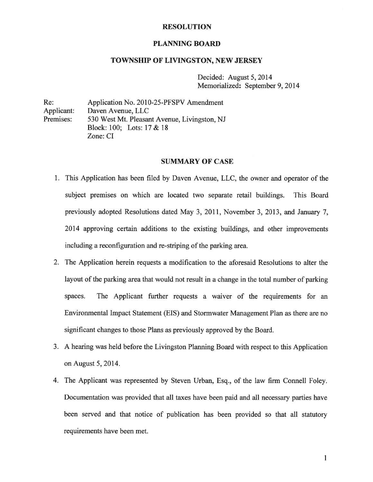#### RESOLUTION

## PLANNING BOARD

## TOWNSHIP OF LIVINGSTON, NEW JERSEY

Decided: August 5, 2014 Memorialized: September 9, 2014

Re: Application No. 2010-25-PFSPV Amendment Applicant: Daven Avenue, LLC Premises: 530 West Mt. Pleasant Avenue, Livingston, NJ Block: 100; Lots: 17 & 18 Zone: CI

#### SUMMARY OF CASE

- 1. This Application has been filed by Daven Avenue, LLC, the owner and operator of the subject premises on which are located two separate retail buildings. This Board previously adopted Resolutions dated May 3, 2011, November 3, 2013, and January 7, 2014 approving certain additions to the existing buildings, and other improvements including <sup>a</sup> reconfiguration and re-striping of the parking area.
- 2. The Application herein requests <sup>a</sup> modification to the aforesaid Resolutions to alter the layout of the parking area that would not result in <sup>a</sup> change in the total number of parking spaces. The Applicant further requests <sup>a</sup> waiver of the requirements for an Environmental Impact Statement (EIS) and Stormwater Management Plan as there are no significant changes to those Plans as previously approved by the Board.
- 3. <sup>A</sup> hearing was held before the Livingston Planning Board with respec<sup>t</sup> to this Application on August 5, 2014.
- 4. The Applicant was represented by Steven Urban, Esq., of the law firm Connell Foley. Documentation was provided that all taxes have been paid and all necessary parties have been served and that notice of publication has been provided so that all statutory requirements have been met.

 $\mathbf{1}$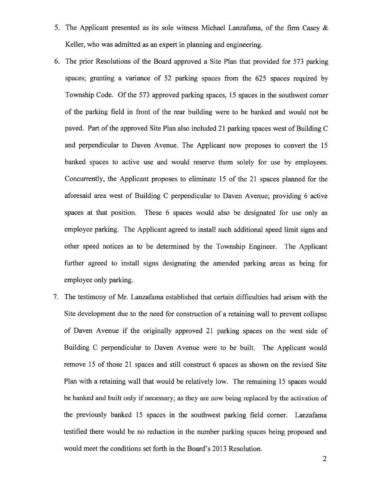- 5. The Applicant presented as its sole witness Michael Lanzafama, of the firm Casey & Keller, who was admitted as an exper<sup>t</sup> in planning and engineering.
- 6. The prior Resolutions of the Board approved <sup>a</sup> Site Plan that provided for 573 parking spaces; granting <sup>a</sup> variance of 52 parking spaces from the 625 spaces required by Township Code. Of the 573 approved parking spaces, 15 spaces in the southwest corner of the parking field in front of the rear building were to be banked and would not be paved. Part of the approved Site Plan also included 21 parking spaces west of Building C and perpendicular to Daven Avenue. The Applicant now proposes to convert the 15 banked spaces to active use and would reserve them solely for use by employees. Concurrently, the Applicant proposes to eliminate 15 of the <sup>21</sup> spaces <sup>p</sup>lanned for the aforesaid area west of Building C perpendicular to Daven Avenue; providing 6 active spaces at that position. These 6 spaces would also be designated for use only as employee parking. The Applicant agreed to install such additional speed limit signs and other speed notices as to be determined by the Township Engineer. The Applicant further agreed to install signs designating the amended parking areas as being for employee only parking.
- 7. The testimony of Mr. Lanzafama established that certain difficulties had arisen with the Site development due to the need for construction of <sup>a</sup> retaining wall to preven<sup>t</sup> collapse of Daven Avenue if the originally approved 21 parking spaces on the west side of Building C perpendicular to Daven Avenue were to be built. The Applicant would remove 15 of those 21 spaces and still construct 6 spaces as shown on the revised Site Plan with <sup>a</sup> retaining wall that would be relatively low. The remaining 15 spaces would be banked and built only if necessary; as they are now being replaced by the activation of the previously banked 15 spaces in the southwest parking field corner. Lanzafama testified there would be no reduction in the number parking spaces being proposed and would meet the conditions set forth in the Board's 2013 Resolution.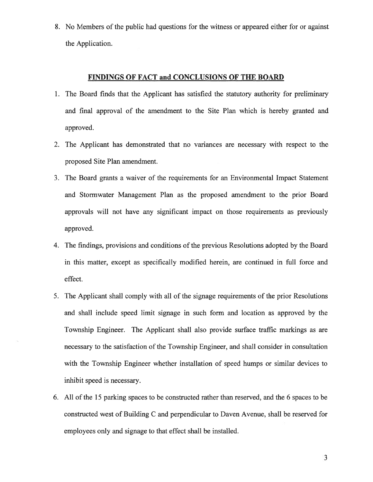8. No Members of the public had questions for the witness or appeared either for or against the Application.

# FINDINGS OF FACT and CONCLUSIONS OF THE BOARD

- 1. The Board finds that the Applicant has satisfied the statutory authority for preliminary and final approval of the amendment to the Site Plan which is hereby granted and approved.
- 2. The Applicant has demonstrated that no variances are necessary with respec<sup>t</sup> to the proposed Site Plan amendment.
- 3. The Board grants <sup>a</sup> waiver of the requirements for an Environmental Impact Statement and Stormwater Management Plan as the proposed amendment to the prior Board approvals will not have any significant impact on those requirements as previously approved.
- 4. The findings, provisions and conditions of the previous Resolutions adopted by the Board in this matter, excep<sup>t</sup> as specifically modified herein, are continued in full force and effect.
- 5. The Applicant shall comply with all of the signage requirements of the prior Resolutions and shall include speed limit signage in such form and location as approved by the Township Engineer. The Applicant shall also provide surface traffic markings as are necessary to the satisfaction of the Township Engineer, and shall consider in consultation with the Township Engineer whether installation of speed humps or similar devices to inhibit speed is necessary.
- 6. All of the 15 parking spaces to be constructed rather than reserved, and the 6 spaces to be constructed west of Building C and perpendicular to Daven Avenue, shall be reserved for employees only and signage to that effect shall be installed.

3